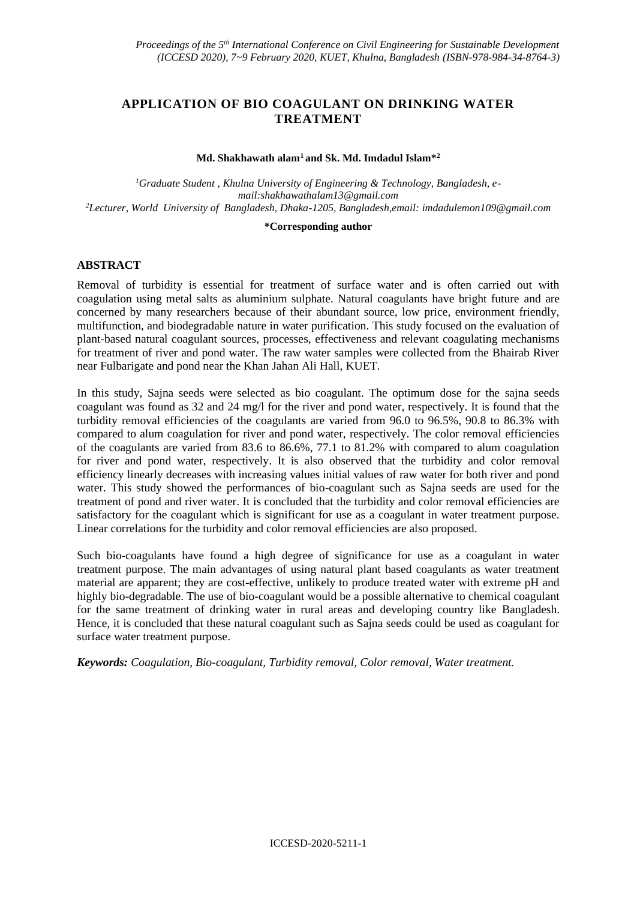# **APPLICATION OF BIO COAGULANT ON DRINKING WATER TREATMENT**

#### **Md. Shakhawath alam<sup>1</sup>and Sk. Md. Imdadul Islam\*<sup>2</sup>**

*1Graduate Student , Khulna University of Engineering & Technology, Bangladesh, email[:shakhawathalam13@gmail.com](file:///K:/Important/ICCESD%202020/Kola/Edit/shakhawathalam13@gmail.com) <sup>2</sup>Lecturer, World University of Bangladesh, Dhaka-1205, Bangladesh,email[: imdadulemon109@gmail.com](file:///C:/Users/Admin/Downloads/imdadulemon109@gmail.com)*

#### **\*Corresponding author**

### **ABSTRACT**

Removal of turbidity is essential for treatment of surface water and is often carried out with coagulation using metal salts as aluminium sulphate. Natural coagulants have bright future and are concerned by many researchers because of their abundant source, low price, environment friendly, multifunction, and biodegradable nature in water purification. This study focused on the evaluation of plant-based natural coagulant sources, processes, effectiveness and relevant coagulating mechanisms for treatment of river and pond water. The raw water samples were collected from the Bhairab River near Fulbarigate and pond near the Khan Jahan Ali Hall, KUET.

In this study, Sajna seeds were selected as bio coagulant. The optimum dose for the sajna seeds coagulant was found as 32 and 24 mg/l for the river and pond water, respectively. It is found that the turbidity removal efficiencies of the coagulants are varied from 96.0 to 96.5%, 90.8 to 86.3% with compared to alum coagulation for river and pond water, respectively. The color removal efficiencies of the coagulants are varied from 83.6 to 86.6%, 77.1 to 81.2% with compared to alum coagulation for river and pond water, respectively. It is also observed that the turbidity and color removal efficiency linearly decreases with increasing values initial values of raw water for both river and pond water. This study showed the performances of bio-coagulant such as Sajna seeds are used for the treatment of pond and river water. It is concluded that the turbidity and color removal efficiencies are satisfactory for the coagulant which is significant for use as a coagulant in water treatment purpose. Linear correlations for the turbidity and color removal efficiencies are also proposed.

Such bio-coagulants have found a high degree of significance for use as a coagulant in water treatment purpose. The main advantages of using natural plant based coagulants as water treatment material are apparent; they are cost-effective, unlikely to produce treated water with extreme pH and highly bio-degradable. The use of bio-coagulant would be a possible alternative to chemical coagulant for the same treatment of drinking water in rural areas and developing country like Bangladesh. Hence, it is concluded that these natural coagulant such as Sajna seeds could be used as coagulant for surface water treatment purpose.

*Keywords: Coagulation, Bio-coagulant, Turbidity removal, Color removal, Water treatment.*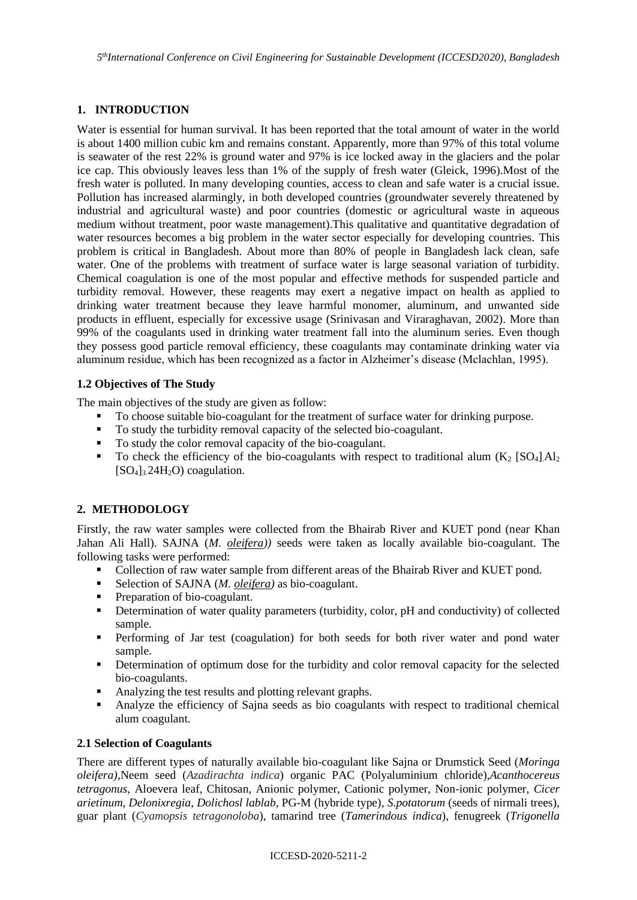# **1. INTRODUCTION**

Water is essential for human survival. It has been reported that the total amount of water in the world is about 1400 million cubic km and remains constant. Apparently, more than 97% of this total volume is seawater of the rest 22% is ground water and 97% is ice locked away in the glaciers and the polar ice cap. This obviously leaves less than 1% of the supply of fresh water (Gleick, 1996).Most of the fresh water is polluted. In many developing counties, access to clean and safe water is a crucial issue. Pollution has increased alarmingly, in both developed countries (groundwater severely threatened by industrial and agricultural waste) and poor countries (domestic or agricultural waste in aqueous medium without treatment, poor waste management).This qualitative and quantitative degradation of water resources becomes a big problem in the water sector especially for developing countries. This problem is critical in Bangladesh. About more than 80% of people in Bangladesh lack clean, safe water. One of the problems with treatment of surface water is large seasonal variation of turbidity. Chemical coagulation is one of the most popular and effective methods for suspended particle and turbidity removal. However, these reagents may exert a negative impact on health as applied to drinking water treatment because they leave harmful monomer, aluminum, and unwanted side products in effluent, especially for excessive usage (Srinivasan and Viraraghavan, 2002). More than 99% of the coagulants used in drinking water treatment fall into the aluminum series. Even though they possess good particle removal efficiency, these coagulants may contaminate drinking water via aluminum residue, which has been recognized as a factor in Alzheimer's disease (Mclachlan, 1995).

# **1.2 Objectives of The Study**

The main objectives of the study are given as follow:

- To choose suitable bio-coagulant for the treatment of surface water for drinking purpose.
- To study the turbidity removal capacity of the selected bio-coagulant.
- To study the color removal capacity of the bio-coagulant.
- **•** To check the efficiency of the bio-coagulants with respect to traditional alum  $(K_2 | SO_4] A l_2$  $[SO_4]_3$ .24H<sub>2</sub>O) coagulation.

# **2. METHODOLOGY**

Firstly, the raw water samples were collected from the Bhairab River and KUET pond (near Khan Jahan Ali Hall). SAJNA (*M. oleifera))* seeds were taken as locally available bio-coagulant. The following tasks were performed:

- Collection of raw water sample from different areas of the Bhairab River and KUET pond.
- Selection of SAJNA (*M. oleifera)* as bio-coagulant.
- Preparation of bio-coagulant.
- **•** Determination of water quality parameters (turbidity, color, pH and conductivity) of collected sample.
- **•** Performing of Jar test (coagulation) for both seeds for both river water and pond water sample.
- **•** Determination of optimum dose for the turbidity and color removal capacity for the selected bio-coagulants.
- Analyzing the test results and plotting relevant graphs.
- Analyze the efficiency of Sajna seeds as bio coagulants with respect to traditional chemical alum coagulant.

### **2.1 Selection of Coagulants**

There are different types of naturally available bio-coagulant like Sajna or Drumstick Seed (*Moringa oleifera)*,Neem seed (*Azadirachta indica*) organic PAC (Polyaluminium chloride),*Acanthocereus tetragonus*, Aloevera leaf, Chitosan, Anionic polymer, Cationic polymer, Non-ionic polymer, *Cicer arietinum*, *Delonixregia*, *Dolichosl lablab*, PG-M (hybride type), *S.potatorum* (seeds of nirmali trees), guar plant (*Cyamopsis tetragonoloba*), tamarind tree (*Tamerindous indica*), fenugreek (*Trigonella*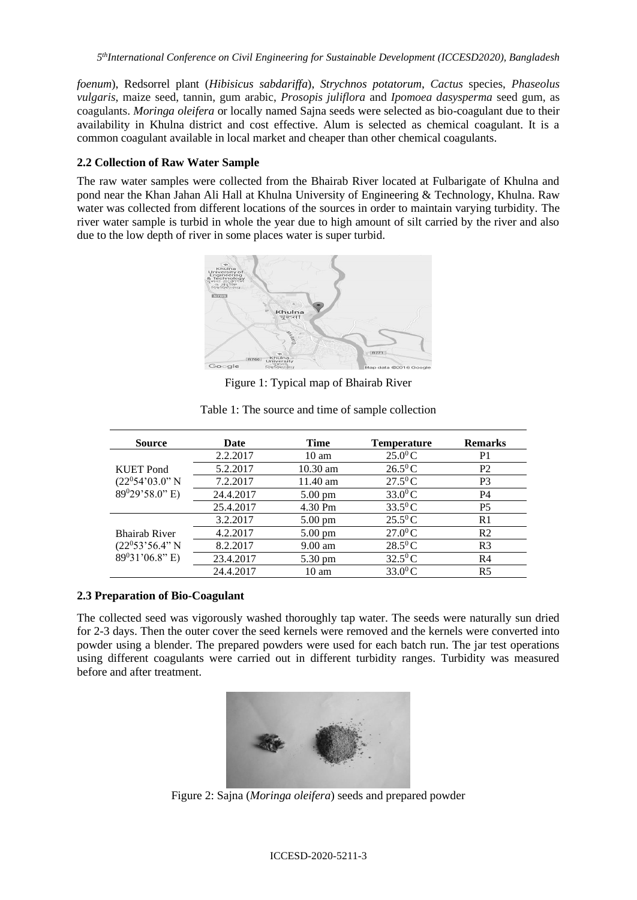*5 thInternational Conference on Civil Engineering for Sustainable Development (ICCESD2020), Bangladesh*

*foenum*), Redsorrel plant (*Hibisicus sabdariffa*), *Strychnos potatorum*, *Cactus* species, *Phaseolus vulgaris*, maize seed, tannin, gum arabic, *Prosopis juliflora* and *Ipomoea dasysperma* seed gum, as coagulants. *Moringa oleifera* or locally named Sajna seeds were selected as bio-coagulant due to their availability in Khulna district and cost effective. Alum is selected as chemical coagulant. It is a common coagulant available in local market and cheaper than other chemical coagulants.

### **2.2 Collection of Raw Water Sample**

The raw water samples were collected from the Bhairab River located at Fulbarigate of Khulna and pond near the Khan Jahan Ali Hall at Khulna University of Engineering & Technology, Khulna. Raw water was collected from different locations of the sources in order to maintain varying turbidity. The river water sample is turbid in whole the year due to high amount of silt carried by the river and also due to the low depth of river in some places water is super turbid.



Figure 1: Typical map of Bhairab River

| <b>Source</b>        | Date      | <b>Time</b>       | <b>Temperature</b>    | <b>Remarks</b> |
|----------------------|-----------|-------------------|-----------------------|----------------|
|                      | 2.2.2017  | $10 \text{ am}$   | $25.0^{0}C$           | P <sub>1</sub> |
| <b>KUET</b> Pond     | 5.2.2017  | $10.30$ am        | $26.5^{\circ}$ C      | P <sub>2</sub> |
| $(22^054'03.0"$ N    | 7.2.2017  | $11.40$ am        | $27.5^{\circ}$ C      | P <sub>3</sub> |
| $89^029'58.0''$ E)   | 24.4.2017 | $5.00 \text{ pm}$ | $33.0^{0}C$           | P4             |
|                      | 25.4.2017 | 4.30 Pm           | $33.5^{\circ}$ C      | <b>P5</b>      |
|                      | 3.2.2017  | $5.00 \text{ pm}$ | $25.5^{\circ}$ C      | R <sub>1</sub> |
| <b>Bhairab River</b> | 4.2.2017  | $5.00 \text{ pm}$ | $27.0$ <sup>0</sup> C | R <sub>2</sub> |
| $(22^053'56.4"N)$    | 8.2.2017  | $9.00 \text{ am}$ | $28.5^{\circ}$ C      | R <sub>3</sub> |
| 89031'06.8" E)       | 23.4.2017 | 5.30 pm           | $32.5^{\circ}$ C      | R <sub>4</sub> |
|                      | 24.4.2017 | $10 \text{ am}$   | $33.0$ <sup>0</sup> C | R <sub>5</sub> |

Table 1: The source and time of sample collection

### **2.3 Preparation of Bio-Coagulant**

The collected seed was vigorously washed thoroughly tap water. The seeds were naturally sun dried for 2-3 days. Then the outer cover the seed kernels were removed and the kernels were converted into powder using a blender. The prepared powders were used for each batch run. The jar test operations using different coagulants were carried out in different turbidity ranges. Turbidity was measured before and after treatment.



Figure 2: Sajna (*Moringa oleifera*) seeds and prepared powder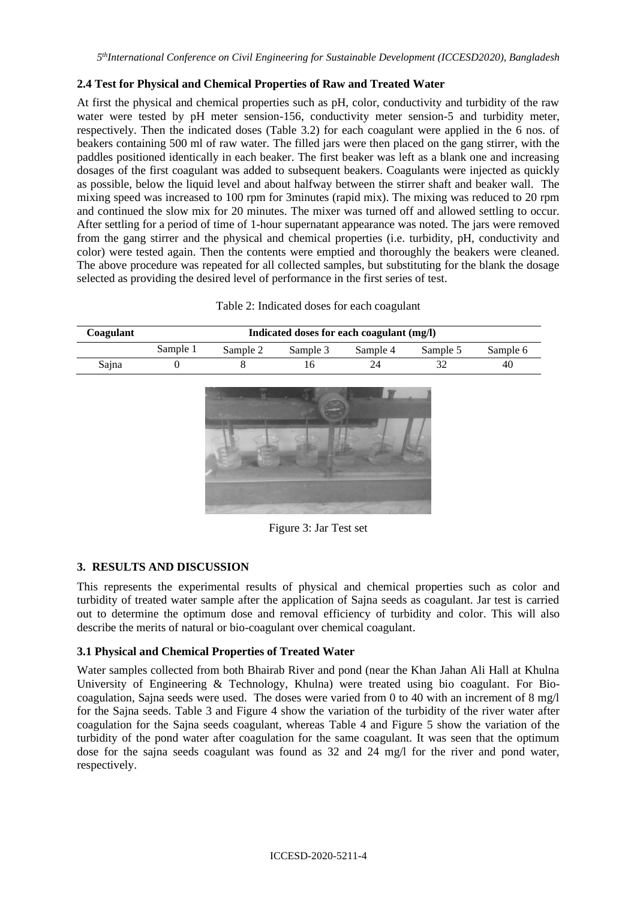### **2.4 Test for Physical and Chemical Properties of Raw and Treated Water**

At first the physical and chemical properties such as pH, color, conductivity and turbidity of the raw water were tested by pH meter sension-156, conductivity meter sension-5 and turbidity meter, respectively. Then the indicated doses (Table 3.2) for each coagulant were applied in the 6 nos. of beakers containing 500 ml of raw water. The filled jars were then placed on the gang stirrer, with the paddles positioned identically in each beaker. The first beaker was left as a blank one and increasing dosages of the first coagulant was added to subsequent beakers. Coagulants were injected as quickly as possible, below the liquid level and about halfway between the stirrer shaft and beaker wall. The mixing speed was increased to 100 rpm for 3minutes (rapid mix). The mixing was reduced to 20 rpm and continued the slow mix for 20 minutes. The mixer was turned off and allowed settling to occur. After settling for a period of time of 1-hour supernatant appearance was noted. The jars were removed from the gang stirrer and the physical and chemical properties (i.e. turbidity, pH, conductivity and color) were tested again. Then the contents were emptied and thoroughly the beakers were cleaned. The above procedure was repeated for all collected samples, but substituting for the blank the dosage selected as providing the desired level of performance in the first series of test.

| Coagulant | Indicated doses for each coagulant (mg/l) |          |          |          |          |          |  |  |  |
|-----------|-------------------------------------------|----------|----------|----------|----------|----------|--|--|--|
|           | Sample 1                                  | Sample 2 | Sample 3 | Sample 4 | Sample 5 | Sample 6 |  |  |  |
| Sajna     |                                           |          |          |          |          | 40       |  |  |  |



Figure 3: Jar Test set

### **3. RESULTS AND DISCUSSION**

This represents the experimental results of physical and chemical properties such as color and turbidity of treated water sample after the application of Sajna seeds as coagulant. Jar test is carried out to determine the optimum dose and removal efficiency of turbidity and color. This will also describe the merits of natural or bio-coagulant over chemical coagulant.

### **3.1 Physical and Chemical Properties of Treated Water**

Water samples collected from both Bhairab River and pond (near the Khan Jahan Ali Hall at Khulna University of Engineering & Technology, Khulna) were treated using bio coagulant. For Biocoagulation, Sajna seeds were used. The doses were varied from 0 to 40 with an increment of 8 mg/l for the Sajna seeds. Table 3 and Figure 4 show the variation of the turbidity of the river water after coagulation for the Sajna seeds coagulant, whereas Table 4 and Figure 5 show the variation of the turbidity of the pond water after coagulation for the same coagulant. It was seen that the optimum dose for the sajna seeds coagulant was found as 32 and 24 mg/l for the river and pond water, respectively.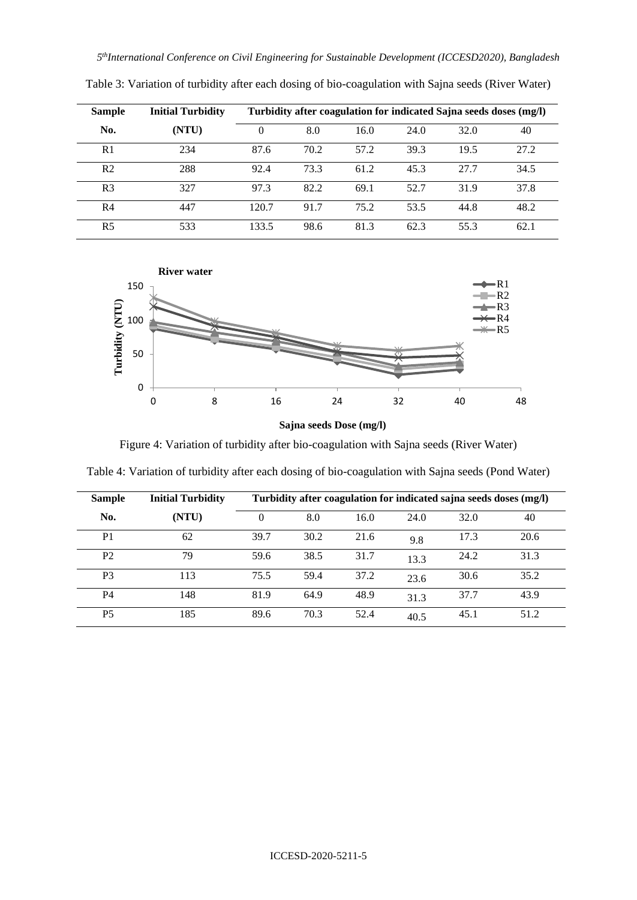| <b>Sample</b>  | <b>Initial Turbidity</b> | Turbidity after coagulation for indicated Sajna seeds doses (mg/l) |      |      |      |      |      |
|----------------|--------------------------|--------------------------------------------------------------------|------|------|------|------|------|
| No.            | (NTU)                    | 0                                                                  | 8.0  | 16.0 | 24.0 | 32.0 | 40   |
| R <sub>1</sub> | 234                      | 87.6                                                               | 70.2 | 57.2 | 39.3 | 19.5 | 27.2 |
| R <sub>2</sub> | 288                      | 92.4                                                               | 73.3 | 61.2 | 45.3 | 27.7 | 34.5 |
| R <sub>3</sub> | 327                      | 97.3                                                               | 82.2 | 69.1 | 52.7 | 31.9 | 37.8 |
| R4             | 447                      | 120.7                                                              | 91.7 | 75.2 | 53.5 | 44.8 | 48.2 |
| R <sub>5</sub> | 533                      | 133.5                                                              | 98.6 | 81.3 | 62.3 | 55.3 | 62.1 |

Table 3: Variation of turbidity after each dosing of bio-coagulation with Sajna seeds (River Water)





Figure 4: Variation of turbidity after bio-coagulation with Sajna seeds (River Water)

| <b>Sample</b>  | <b>Initial Turbidity</b> | Turbidity after coagulation for indicated sajna seeds doses (mg/l) |      |      |      |      |      |
|----------------|--------------------------|--------------------------------------------------------------------|------|------|------|------|------|
| No.            | (NTU)                    | 0                                                                  | 8.0  | 16.0 | 24.0 | 32.0 | 40   |
| P <sub>1</sub> | 62                       | 39.7                                                               | 30.2 | 21.6 | 9.8  | 17.3 | 20.6 |
| P <sub>2</sub> | 79                       | 59.6                                                               | 38.5 | 31.7 | 13.3 | 24.2 | 31.3 |
| P <sub>3</sub> | 113                      | 75.5                                                               | 59.4 | 37.2 | 23.6 | 30.6 | 35.2 |
| P4             | 148                      | 81.9                                                               | 64.9 | 48.9 | 31.3 | 37.7 | 43.9 |
| P <sub>5</sub> | 185                      | 89.6                                                               | 70.3 | 52.4 | 40.5 | 45.1 | 51.2 |

Table 4: Variation of turbidity after each dosing of bio-coagulation with Sajna seeds (Pond Water)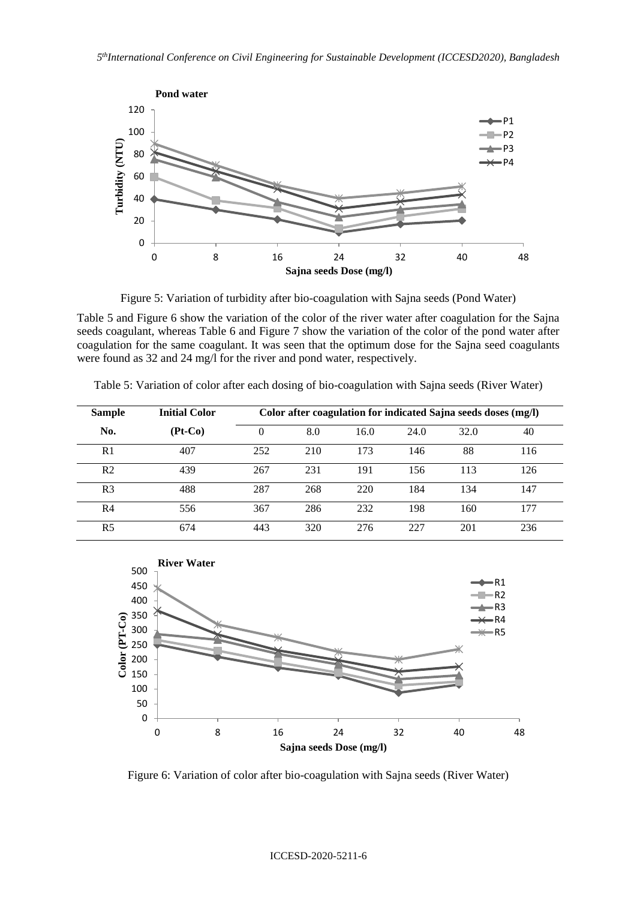

Figure 5: Variation of turbidity after bio-coagulation with Sajna seeds (Pond Water)

Table 5 and Figure 6 show the variation of the color of the river water after coagulation for the Sajna seeds coagulant, whereas Table 6 and Figure 7 show the variation of the color of the pond water after coagulation for the same coagulant. It was seen that the optimum dose for the Sajna seed coagulants were found as 32 and 24 mg/l for the river and pond water, respectively.

| <b>Sample</b>  | <b>Initial Color</b> | Color after coagulation for indicated Sajna seeds doses (mg/l) |     |      |      |      |     |  |
|----------------|----------------------|----------------------------------------------------------------|-----|------|------|------|-----|--|
| No.            | $(Pt-Co)$            | 0                                                              | 8.0 | 16.0 | 24.0 | 32.0 | 40  |  |
| R1             | 407                  | 252                                                            | 210 | 173  | 146  | 88   | 116 |  |
| R <sub>2</sub> | 439                  | 267                                                            | 231 | 191  | 156  | 113  | 126 |  |
| R <sub>3</sub> | 488                  | 287                                                            | 268 | 220  | 184  | 134  | 147 |  |
| R4             | 556                  | 367                                                            | 286 | 232  | 198  | 160  | 177 |  |
| R5             | 674                  | 443                                                            | 320 | 276  | 227  | 201  | 236 |  |

Table 5: Variation of color after each dosing of bio-coagulation with Sajna seeds (River Water)



Figure 6: Variation of color after bio-coagulation with Sajna seeds (River Water)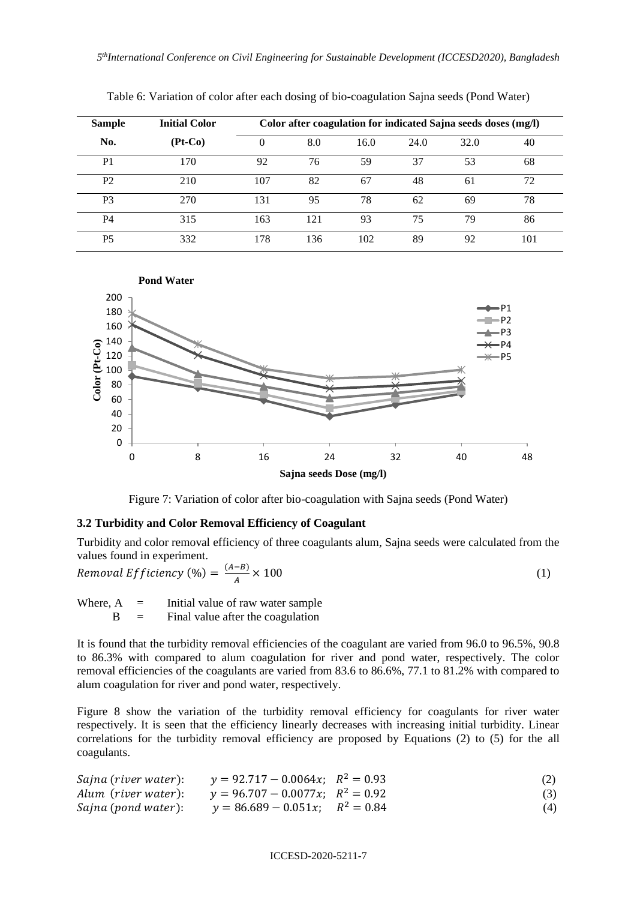| <b>Sample</b>  | <b>Initial Color</b> |     | Color after coagulation for indicated Sajna seeds doses (mg/l) |      |      |      |     |  |
|----------------|----------------------|-----|----------------------------------------------------------------|------|------|------|-----|--|
| No.            | $(Pt-Co)$            | 0   | 8.0                                                            | 16.0 | 24.0 | 32.0 | 40  |  |
| P1             | 170                  | 92  | 76                                                             | 59   | 37   | 53   | 68  |  |
| P <sub>2</sub> | 210                  | 107 | 82                                                             | 67   | 48   | 61   | 72  |  |
| P3             | 270                  | 131 | 95                                                             | 78   | 62   | 69   | 78  |  |
| P4             | 315                  | 163 | 121                                                            | 93   | 75   | 79   | 86  |  |
| P5             | 332                  | 178 | 136                                                            | 102  | 89   | 92   | 101 |  |

Table 6: Variation of color after each dosing of bio-coagulation Sajna seeds (Pond Water)



Figure 7: Variation of color after bio-coagulation with Sajna seeds (Pond Water)

### **3.2 Turbidity and Color Removal Efficiency of Coagulant**

Turbidity and color removal efficiency of three coagulants alum, Sajna seeds were calculated from the values found in experiment.

$$
Removal Efficiency (%) = \frac{(A-B)}{A} \times 100
$$
\n(1)

Where,  $A =$  Initial value of raw water sample

 $B =$  Final value after the coagulation

It is found that the turbidity removal efficiencies of the coagulant are varied from 96.0 to 96.5%, 90.8 to 86.3% with compared to alum coagulation for river and pond water, respectively. The color removal efficiencies of the coagulants are varied from 83.6 to 86.6%, 77.1 to 81.2% with compared to alum coagulation for river and pond water, respectively.

Figure 8 show the variation of the turbidity removal efficiency for coagulants for river water respectively. It is seen that the efficiency linearly decreases with increasing initial turbidity. Linear correlations for the turbidity removal efficiency are proposed by Equations (2) to (5) for the all coagulants.

| Sajna (river water): $y = 92.717 - 0.0064x$ ; $R^2 = 0.93$ | (2) |
|------------------------------------------------------------|-----|
| Alum (river water): $y = 96.707 - 0.0077x$ ; $R^2 = 0.92$  | (3) |
| Sajna (pond water): $y = 86.689 - 0.051x$ ; $R^2 = 0.84$   | (4) |

#### ICCESD-2020-5211-7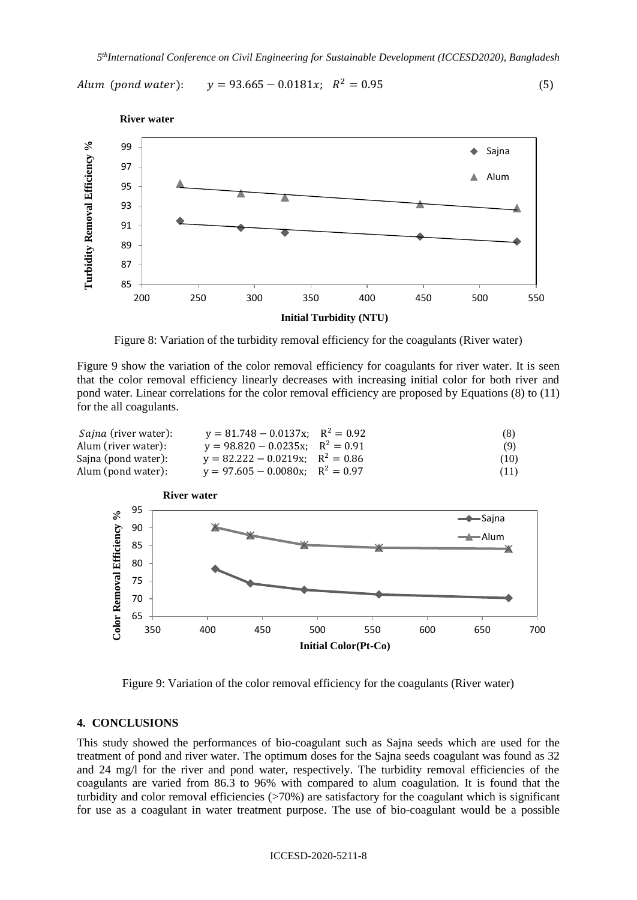Alum (pond water):  $y = 93.665 - 0.0181x$ ;  $R^2 = 0.95$  (5)



Figure 8: Variation of the turbidity removal efficiency for the coagulants (River water)

Figure 9 show the variation of the color removal efficiency for coagulants for river water. It is seen that the color removal efficiency linearly decreases with increasing initial color for both river and pond water. Linear correlations for the color removal efficiency are proposed by Equations (8) to (11) for the all coagulants.

| <i>Sajna</i> (river water): | $y = 81.748 - 0.0137x$ ; $R^2 = 0.92$ | (8)  |
|-----------------------------|---------------------------------------|------|
| Alum (river water):         | $y = 98.820 - 0.0235x$ ; $R^2 = 0.91$ | (9)  |
| Saina (pond water):         | $y = 82.222 - 0.0219x$ ; $R^2 = 0.86$ | (10) |
| Alum (pond water):          | $y = 97.605 - 0.0080x$ ; $R^2 = 0.97$ | (11) |



Figure 9: Variation of the color removal efficiency for the coagulants (River water)

#### **4. CONCLUSIONS**

This study showed the performances of bio-coagulant such as Sajna seeds which are used for the treatment of pond and river water. The optimum doses for the Sajna seeds coagulant was found as 32 and 24 mg/l for the river and pond water, respectively. The turbidity removal efficiencies of the coagulants are varied from 86.3 to 96% with compared to alum coagulation. It is found that the turbidity and color removal efficiencies (>70%) are satisfactory for the coagulant which is significant for use as a coagulant in water treatment purpose. The use of bio-coagulant would be a possible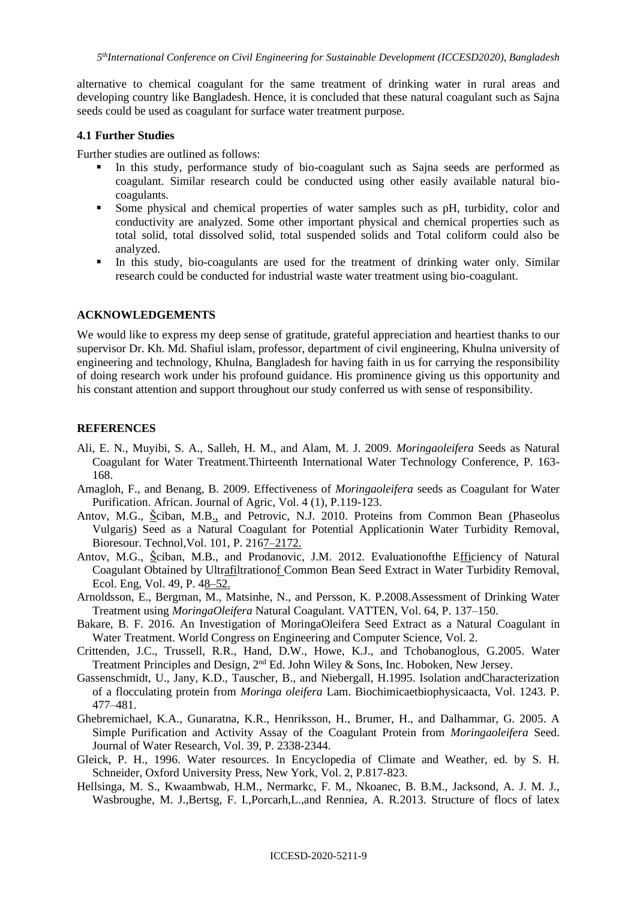alternative to chemical coagulant for the same treatment of drinking water in rural areas and developing country like Bangladesh. Hence, it is concluded that these natural coagulant such as Sajna seeds could be used as coagulant for surface water treatment purpose.

#### **4.1 Further Studies**

Further studies are outlined as follows:

- In this study, performance study of bio-coagulant such as Sajna seeds are performed as coagulant. Similar research could be conducted using other easily available natural biocoagulants.
- Some physical and chemical properties of water samples such as pH, turbidity, color and conductivity are analyzed. Some other important physical and chemical properties such as total solid, total dissolved solid, total suspended solids and Total coliform could also be analyzed.
- In this study, bio-coagulants are used for the treatment of drinking water only. Similar research could be conducted for industrial waste water treatment using bio-coagulant.

#### **ACKNOWLEDGEMENTS**

We would like to express my deep sense of gratitude, grateful appreciation and heartiest thanks to our supervisor Dr. Kh. Md. Shafiul islam, professor, department of civil engineering, Khulna university of engineering and technology, Khulna, Bangladesh for having faith in us for carrying the responsibility of doing research work under his profound guidance. His prominence giving us this opportunity and his constant attention and support throughout our study conferred us with sense of responsibility.

#### **REFERENCES**

- Ali, E. N., Muyibi, S. A., Salleh, H. M., and Alam, M. J. 2009. *Moringaoleifera* Seeds as Natural Coagulant for Water Treatment.Thirteenth International Water Technology Conference, P. 163- 168.
- Amagloh, F., and Benang, B. 2009. Effectiveness of *Moringaoleifera* seeds as Coagulant for Water Purification. African. Journal of Agric, Vol. 4 (1), P.119-123.
- Antov, M.G., <u>Š</u>ciban, M.[B.,](http://refhub.elsevier.com/S2212-3717(14)00017-1/sbref6) and Petrovic, N.J. 2010. Proteins from Common Bean [\(P](http://refhub.elsevier.com/S2212-3717(14)00017-1/sbref6)haseolus Vulgar[is\)](http://refhub.elsevier.com/S2212-3717(14)00017-1/sbref6) Seed as a Natural Coagulant for Potential Applicationin Water Turbidity Removal, Bioresour. Technol,Vol. 101, P. 21[67–2172.](http://refhub.elsevier.com/S2212-3717(14)00017-1/sbref6)
- Antov, M.G., [Šc](http://refhub.elsevier.com/S2212-3717(14)00017-1/sbref6)iban, M.B., and Prodanovic, J.M. 2012. Evaluationofthe [Effic](http://refhub.elsevier.com/S2212-3717(14)00017-1/sbref1)iency of Natural Coagulant Obtained by Ult[rafil](http://refhub.elsevier.com/S2212-3717(14)00017-1/sbref1)tration[of C](http://refhub.elsevier.com/S2212-3717(14)00017-1/sbref1)ommon Bean Seed Extract in Water Turbidity Removal, Ecol. Eng, Vol. 49, P. [48–52.](http://refhub.elsevier.com/S2212-3717(14)00017-1/sbref1)
- Arnoldsson, E., Bergman, M., Matsinhe, N., and Persson, K. P.2008.Assessment of Drinking Water Treatment using *MoringaOleifera* Natural Coagulant. VATTEN, Vol. 64, P. 137–150.
- Bakare, B. F. 2016. An Investigation of MoringaOleifera Seed Extract as a Natural Coagulant in Water Treatment. World Congress on Engineering and Computer Science, Vol. 2.
- Crittenden, J.C., Trussell, R.R., Hand, D.W., Howe, K.J., and Tchobanoglous, G.2005. Water Treatment Principles and Design, 2<sup>nd</sup> Ed. John Wiley & Sons, Inc. Hoboken, New Jersey.
- Gassenschmidt, U., Jany, K.D., Tauscher, B., and Niebergall, H.1995. Isolation andCharacterization of a flocculating protein from *Moringa oleifera* Lam. Biochimicaetbiophysicaacta, Vol. 1243. P. 477–481.
- Ghebremichael, K.A., Gunaratna, K.R., Henriksson, H., Brumer, H., and Dalhammar, G. 2005. A Simple Purification and Activity Assay of the Coagulant Protein from *Moringaoleifera* Seed. Journal of Water Research, Vol. 39, P. 2338-2344.
- Gleick, P. H., 1996. Water resources. In Encyclopedia of Climate and Weather, ed. by S. H. Schneider, Oxford University Press, New York, Vol. 2, P.817-823.
- Hellsinga, M. S., Kwaambwab, H.M., Nermarkc, F. M., Nkoanec, B. B.M., Jacksond, A. J. M. J., Wasbroughe, M. J.,Bertsg, F. I.,Porcarh,L.,and Renniea, A. R.2013. Structure of flocs of latex